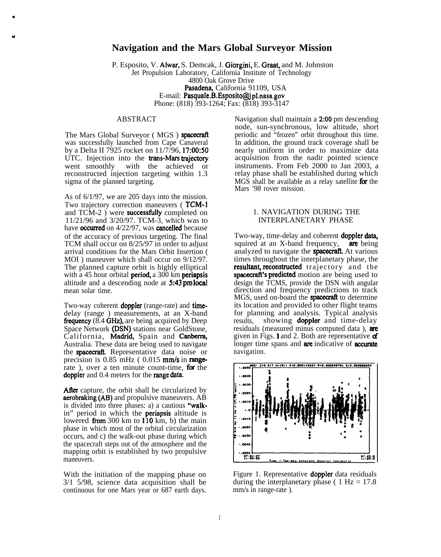# **Navigation and the Mars Global Surveyor Mission**

P. Esposito, V. Alwar, S. Demcak, J. Giorgini, E. Graat, and M. Johnston Jet Propulsion Laboratory, California Institute of Technology 4800 Oak Grove Drive Pasadena, California 91109, USA E-mail: Pasquale.B.Esposito@jpl.nasa.gov Phone: (818) 393-1264; Fax: (818) 393-3147

#### ABSTRACT

d

The Mars Global Surveyor (MGS) spacecraft was successfully launched from Cape Canaveral by a Delta II 7925 rocket on 11/7/96, 17:00:50 UTC. Injection into the **trans-Mars trajectory** went smoothly with the achieved or with the achieved or reconstructed injection targeting within 1.3 sigma of the planned targeting.

As of 6/1/97, we are 205 days into the mission. Two trajectory correction maneuvers (TCM-1 and TCM-2 ) were **successfully** completed on 11/21/96 and 3/20/97. TCM-3, which was to have **occurred** on 4/22/97, was **cancelled** because of the accuracy of previous targeting. The final TCM shall occur on 8/25/97 in order to adjust arrival conditions for the Mars Orbit Insertion ( MOI) maneuver which shall occur on  $9/12/97$ . The planned capture orbit is highly elliptical with a 45 hour orbital **period**, a  $300 \text{ km}$  **periapsis** altitude and a descending node at  $5:43$  pm local mean solar time.

Two-way coherent **doppler** (range-rate) and **time**delay (range ) measurements, at an X-band **frequency**  $(8.4 \text{ GHz})$ , are being acquired by Deep Space Network (DSN) stations near GoldStone, California, Madrid, Spain and Canberra, Australia. These data are being used to navigate the **spacecraft**. Representative data noise or precision is  $0.85 \text{ mHz}$  (  $0.015 \text{ mm/s}$  in rangerate), over a ten minute count-time, for the doppler and 0.4 meters for the range data.

After capture, the orbit shall be circularized by aerobraking (AB) and propulsive maneuvers. AB is divided into three phases: a) a cautious "walkin" period in which the periapsis altitude is lowered from  $300 \text{ km}$  to  $110 \text{ km}$ , b) the main phase in which most of the orbital circularization occurs, and c) the walk-out phase during which the spacecraft steps out of the atmosphere and the mapping orbit is established by two propulsive maneuvers.

With the initiation of the mapping phase on 3/1 5/98, science data acquisition shall be continuous for one Mars year or 687 earth days. Navigation shall maintain a 2:00 pm descending node, sun-synchronous, low altitude, short periodic and "frozen" orbit throughout this time. In addition, the ground track coverage shall be nearly uniform in order to maximize data acquisition from the nadir pointed science instruments. From Feb 2000 to Jan 2003, a relay phase shall be established during which  $MGS$  shall be available as a relay satellite for the Mars '98 rover mission.

#### 1. NAVIGATION DURING THE INTERPLANETARY PHASE

Two-way, time-delay and coherent **doppler data**. squired at an  $X$ -band frequency, are being analyzed to navigate the **spacecraft**. At various times throughout the interplanetary phase, the resultant, reconstructed trajectory and the spacecraft's predicted motion are being used to design the TCMS, provide the DSN with angular direction and frequency predictions to track MGS, used on-board the **spacecraft** to determine its location and provided to other flight teams for planning and analysis. Typical analysis results, showing **doppler** and time-delay residuals (measured minus computed data). **are** given in Figs. 1 and 2. Both are representative  $\mathbf d$ longer time spans and are indicative of accurate navigation.



Figure 1. Representative doppler data residuals during the interplanetary phase (  $1 \text{ Hz} = 17.8$ ) mm/s in range-rate ).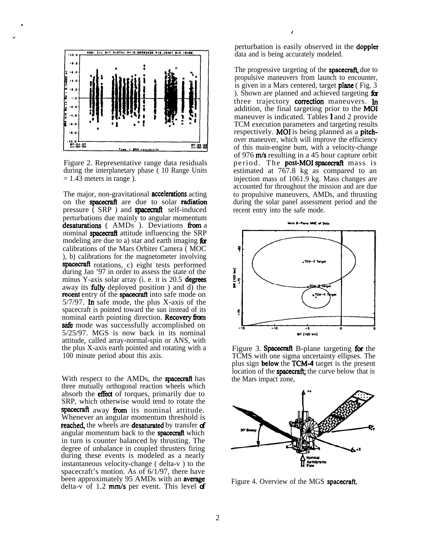

.

.

Figure 2. Representative range data residuals during the interplanetary phase ( 10 Range Units  $= 1.43$  meters in range).

The major, non-gravitational **accelerations** acting on the **spacecraft** are due to solar **radiation** pressure ( SRP ) and **spacecraft** self-induced perturbations due mainly to angular momentum desaturations ( AMDs ). Deviations from a nominal spacecraft attitude influencing the SRP modeling are due to a) star and earth imaging  $\mathbf{f}$ calibrations of the Mars Orbiter Camera ( MOC ), b) calibrations for the magnetometer involving **EXAMPLE THEORY IS THE REFORM CONSTRAINER IN SPACE THEORY CONSTRAINER THEORY CONSTRAINER (MOC**), b) calibrations for the magnetometer involving **spacecraft** rotations, c) eight tests performed during Jan '97 in order to a minus Y-axis solar array (i. e. it is  $20.5$  degrees away its filly deployed position ) and d) the recent entry of the spacecraft into safe mode on 5/7/97. In safe mode, the plus X-axis of the spacecraft is pointed toward the sun instead of its nominal earth pointing direction. **Recovery from** safe mode was successfully accomplished on 5/25/97. MGS is now back in its nominal attitude, called array-normal-spin or ANS, with the plus X-axis earth pointed and rotating with a 100 minute period about this axis.

With respect to the AMDs, the **spacecraft** has three mutually orthogonal reaction wheels which absorb the **effect** of torques, primarily due to solution of the tend of the tend of the tend of the spacecraft away from its nominal attitude. Whenever an angular momentum threshold is reached, the wheels are desaturated by transfer of angular momentum back to the **spacecraft** which in turn is counter balanced by thrusting. The degree of unbalance in coupled thrusters firing during these events is modeled as a nearly instantaneous velocity-change ( delta-v ) to the spacecraft's motion. As of 6/1/97, there have been approximately 95 AMDs with an **average** delta-v of 1.2  $mm/s$  per event. This level  $df$ 

perturbation is easily observed in the **doppler** data and is being accurately modeled.

/

The progressive targeting of the **spacecraft**, due to propulsive maneuvers from launch to encounter, is given in a Mars centered, target **plane** (Fig. 3) ). Shown are planned and achieved targeting  $\alpha$ three trajectory **correction** maneuvers. In addition, the final targeting prior to the MOI maneuver is indicated. Tables 1 and 2 provide TCM execution parameters and targeting results respectively. MOI is being planned as a pitchover maneuver, which will improve the efficiency of this main-engine bum, with a velocity-change of 976  $m/s$  resulting in a 45 hour capture orbit period. The **post-MOI spacecraft** mass is estimated at 767.8 kg as compared to an injection mass of 1061.9 kg. Mass changes are accounted for throughout the mission and are due to propulsive maneuvers, AMDs, and thrusting during the solar panel assessment period and the recent entry into the safe mode.



Figure 3. **Spacecraft** B-plane targeting for the TCMS with one sigma uncertainty ellipses. The plus sign **below** the **TCM-4** target is the present location of the **spacecraft**; the curve below that is the Mars impact zone,



Figure 4. Overview of the MGS spacecraft.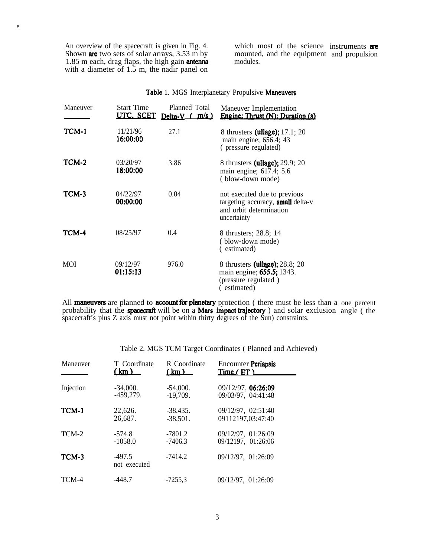An overview of the spacecraft is given in Fig. 4. which most of the science Shown **are** two sets of solar arrays,  $3.53 \text{ m}$  by mounted, and the equipment 1.85 m each, drag flaps, the high gain **antenna** modules. with a diameter of 1.5 m, the nadir panel on

 $\lambda$ 

which most of the science instruments are mounted, and the equipment and propulsion

| Maneuver | <b>Start Time</b><br>UTC. SCET | Planned Total<br>Delta- $V$ ( $m/s$ ) | Maneuver Implementation<br>Engine: Thrust (N): Duration (s)                                                 |
|----------|--------------------------------|---------------------------------------|-------------------------------------------------------------------------------------------------------------|
| TCM-1    | 11/21/96<br>16:00:00           | 27.1                                  | 8 thrusters (ullage); 17.1; 20<br>main engine; 656.4; 43<br>(pressure regulated)                            |
| TCM-2    | 03/20/97<br>18:00:00           | 3.86                                  | 8 thrusters (ullage); 29.9; 20<br>main engine; 617.4; 5.6<br>(blow-down mode)                               |
| TCM-3    | 04/22/97<br>00:00:00           | 0.04                                  | not executed due to previous<br>targeting accuracy, small delta-v<br>and orbit determination<br>uncertainty |
| TCM-4    | 08/25/97                       | 0.4                                   | 8 thrusters; 28.8; 14<br>(blow-down mode)<br>(estimated)                                                    |
| MOI      | 09/12/97<br>01:15:13           | 976.0                                 | 8 thrusters (ullage); 28.8; 20<br>main engine; <b>655.5;</b> 1343.<br>(pressure regulated)<br>estimated)    |

# Table 1. MGS Interplanetary Propulsive Maneuvers

All maneuvers are planned to account for planetary protection (there must be less than a probability that the spacecraft will be on a Mars impact trajectory ) and solar exclusion spacecraft's plus Z axis must not point within thirty degrees of the Sun) constraints. one percent angle ( the

Table 2. MGS TCM Target Coordinates ( Planned and Achieved)

| Maneuver  | T Coordinate             | R Coordinate | Encounter Periapsis |
|-----------|--------------------------|--------------|---------------------|
|           | (km)                     | (km)         | Time (ET)           |
| Injection | $-34,000.$               | $-54,000.$   | 09/12/97, 06:26:09  |
|           | $-459,279.$              | $-19,709.$   | 09/03/97, 04:41:48  |
| TCM-1     | 22,626.                  | $-38,435.$   | 09/12/97, 02:51:40  |
|           | 26,687.                  | $-38,501.$   | 09112197,03:47:40   |
| TCM-2     | $-574.8$                 | $-7801.2$    | 09/12/97, 01:26:09  |
|           | $-1058.0$                | $-7406.3$    | 09/12197, 01:26:06  |
| TCM-3     | $-497.5$<br>not executed | $-7414.2$    | 09/12/97, 01:26:09  |
| TCM-4     | $-448.7$                 | $-7255.3$    | 09/12/97, 01:26:09  |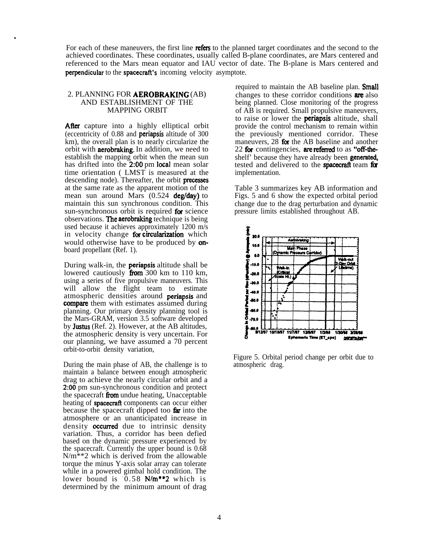For each of these maneuvers, the first line **refers** to the planned target coordinates and the second to the achieved coordinates. These coordinates, usually called B-plane coordinates, are Mars centered and referenced to the Mars mean equator and IAU vector of date. The B-plane is Mars centered and perpendicular to the spacecraft's incoming velocity asymptote.

#### 2. PLANNING FOR **AEROBRAKING** (AB) AND ESTABLISHMENT OF THE MAPPING ORBIT

.

After capture into a highly elliptical orbit (eccentricity of 0.88 and periapsis altitude of 300 km), the overall plan is to nearly circularize the orbit with aerobraking. In addition, we need to establish the mapping orbit when the mean sun has drifted into the 2:00 pm local mean solar time orientation ( LMST is measured at the descending node). Thereafter, the orbit **precesses** at the same rate as the apparent motion of the mean sun around Mars  $(0.524 \text{ deg/day})$  to maintain this sun synchronous condition. This sun-synchronous orbit is required for science observations. The aerobraking technique is being used because it achieves approximately 1200 m/s in velocity change for circularization which would otherwise have to be produced by **on**board propellant (Ref. 1).

During walk-in, the **periapsis** altitude shall be lowered cautiously from 300 km to 110 km, using a series of five propulsive maneuvers. This will allow the flight team to estimate atmospheric densities around periapsis and compare them with estimates assumed during planning. Our primary density planning tool is the Mars-GRAM, version 3.5 software developed by Justus (Ref. 2). However, at the AB altitudes, the atmospheric density is very uncertain. For our planning, we have assumed a 70 percent orbit-to-orbit density variation,

During the main phase of AB, the challenge is to maintain a balance between enough atmospheric drag to achieve the nearly circular orbit and a 2:00 pm sun-synchronous condition and protect the spacecraft **from** undue heating, Unacceptable heating of **spacecraft** components can occur either because the spacecraft dipped too far into the atmosphere or an unanticipated increase in density **occurred** due to intrinsic density variation. Thus, a corridor has been defied based on the dynamic pressure experienced by the spacecraft. Currently the upper bound is 0.68  $N/m^*$  which is derived from the allowable torque the minus Y-axis solar array can tolerate while in a powered gimbal hold condition. The lower bound is  $0.58$  N/m\*\*2 which is determined by the minimum amount of drag

required to maintain the AB baseline plan. **Small** changes to these corridor conditions are also being planned. Close monitoring of the progress of AB is required. Small propulsive maneuvers, to raise or lower the periapsis altitude, shall provide the control mechanism to remain within the previously mentioned corridor. These maneuvers,  $28$  for the AB baseline and another 22 for contingencies, are referred to as "off-theshelf' because they have already been **generated**, tested and delivered to the **spacecraft** team for implementation.

Table 3 summarizes key AB information and Figs. 5 and 6 show the expected orbital period change due to the drag perturbation and dynamic pressure limits established throughout AB.



Figure 5. Orbital period change per orbit due to atmospheric drag.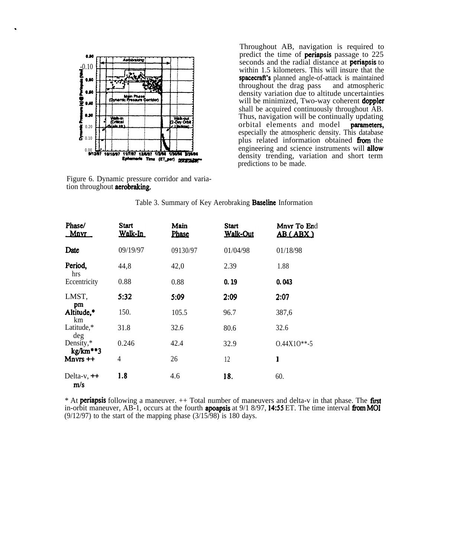

.

Figure 6. Dynamic pressure corridor and variation throughout **aerobraking**.

Throughout AB, navigation is required to 0.00 predict the time of **periapsis** passage to 225 -0.10 seconds and the radial distance at periapsis to within 1.5 kilometers. This will insure that the  $\bullet \bullet$  spacecraft's planned angle-of-attack is maintained<br>throughout the drag pass and atmospheric throughout the drag pass **OM**  $\left\{\begin{array}{c}\n\downarrow \\
\downarrow\n\end{array}\right\}$  density variation due to altitude uncertainties 0.40  $\left\{\right\}$  (Opnemic Fressure Contdon) will be minimized, Two-way coherent doppler shall be acquired continuously throughout AB. O.w Thus, navigation will be continually updating  $\frac{1}{20}$  orbital elements and model **parameters,** especially the atmospheric density. This database plus related information obtained from the 0.00  $\frac{1}{20}$  engineering and science instruments will allow density trending, variation and short term predictions to be made.

|                        | tion throughout <b>aerobraking</b> . | Figure 6. Dynamic pressure corridor and varia- |                                                                 |                                |
|------------------------|--------------------------------------|------------------------------------------------|-----------------------------------------------------------------|--------------------------------|
|                        |                                      |                                                | Table 3. Summary of Key Aerobraking <b>Baseline</b> Information |                                |
| Phase/<br>Mnyr         | <b>Start</b><br>Walk-In              | Main<br>Phase                                  | <b>Start</b><br><b>Walk-Out</b>                                 | Mnvr To End<br><b>AB (ABX)</b> |
| Date                   | 09/19/97                             | 09130/97                                       | 01/04/98                                                        | 01/18/98                       |
| Period,<br>hrs         | 44,8                                 | 42,0                                           | 2.39                                                            | 1.88                           |
| Eccentricity           | 0.88                                 | 0.88                                           | 0.19                                                            | 0.043                          |
| LMST,                  | 5:32                                 | 5:09                                           | 2:09                                                            | 2:07                           |
| pm<br>Altitude,*<br>km | 150.                                 | 105.5                                          | 96.7                                                            | 387,6                          |
| Latitude,*<br>deg      | 31.8                                 | 32.6                                           | 80.6                                                            | 32.6                           |
| Density,*              | 0.246                                | 42.4                                           | 32.9                                                            | $0.44X10**-5$                  |
| kg/km**3<br>$Mnvrs ++$ | 4                                    | 26                                             | 12                                                              | 1                              |
| Delta-v, $++$<br>m/s   | 1.8                                  | 4.6                                            | 18.                                                             | 60.                            |

Table 3. Summary of Key Aerobraking **Baseline** Information

\* At **periapsis** following a maneuver.  $++$  Total number of maneuvers and delta-v in that phase. The **first** in-orbit maneuver, AB-1, occurs at the fourth **apoapsis** at  $9/1\ 8/97$ , **14:55** ET. The time interval **from MOI**  $(9/12/97)$  to the start of the mapping phase  $(3/15/98)$  is 180 days.